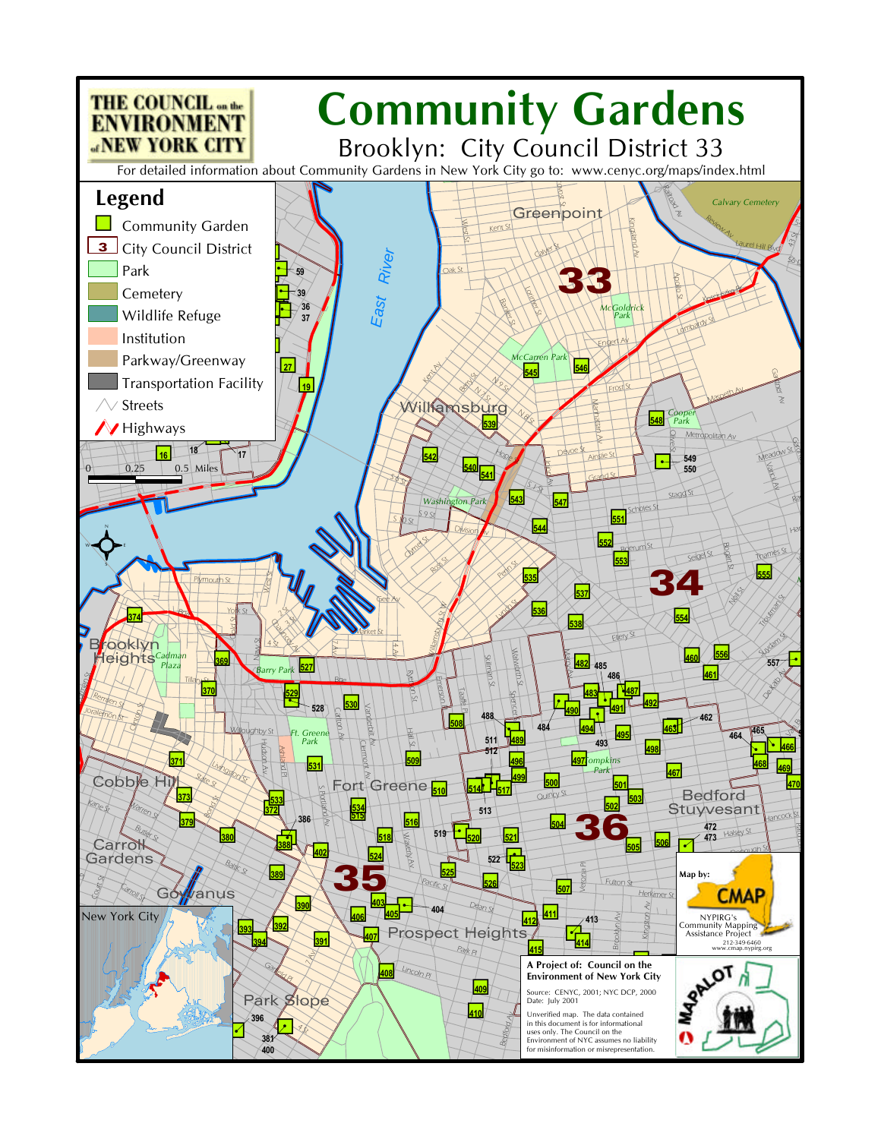